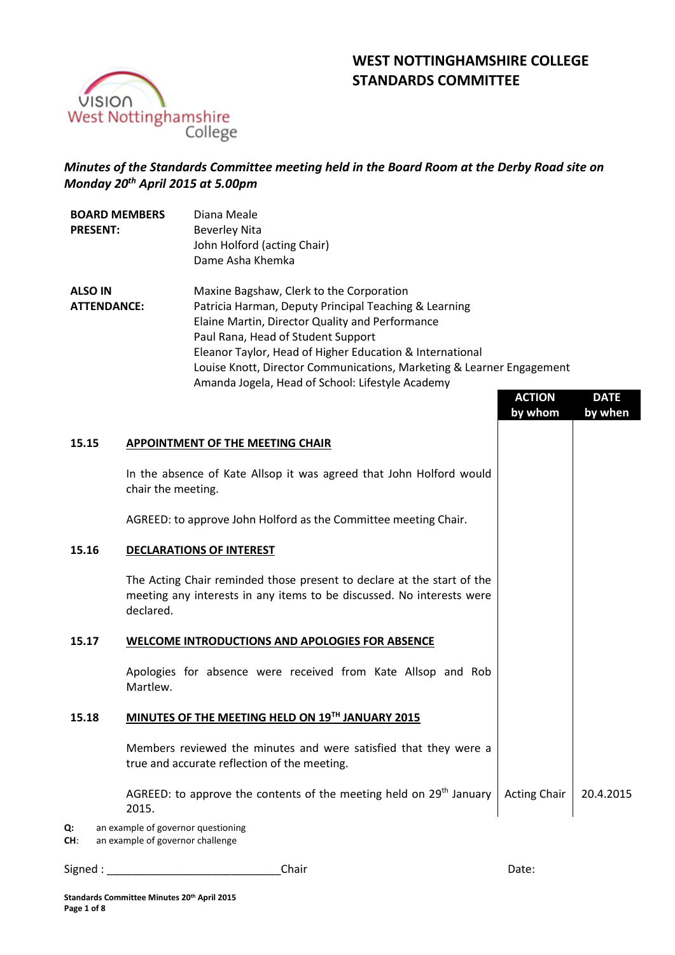# **WEST NOTTINGHAMSHIRE COLLEGE STANDARDS COMMITTEE**



# *Minutes of the Standards Committee meeting held in the Board Room at the Derby Road site on Monday 20th April 2015 at 5.00pm*

| <b>BOARD MEMBERS</b><br><b>PRESENT:</b> | Diana Meale<br>Beverley Nita<br>John Holford (acting Chair)<br>Dame Asha Khemka |
|-----------------------------------------|---------------------------------------------------------------------------------|
| <b>ALSO IN</b>                          | Maxine Bagshaw, Clerk to the Corporation                                        |
| <b>ATTENDANCE:</b>                      | Patricia Harman, Deputy Principal Teaching & Learning                           |
|                                         | Elaine Martin, Director Quality and Performance                                 |
|                                         | Paul Rana, Head of Student Support                                              |
|                                         | Eleanor Taylor, Head of Higher Education & International                        |
|                                         | Louise Knott, Director Communications, Marketing & Learner Engagement           |
|                                         | Amanda Jogela, Head of School: Lifestyle Academy                                |

|           |                                                                                                                                                              | <b>ACTION</b><br>by whom | <b>DATE</b><br>by when |
|-----------|--------------------------------------------------------------------------------------------------------------------------------------------------------------|--------------------------|------------------------|
| 15.15     | APPOINTMENT OF THE MEETING CHAIR                                                                                                                             |                          |                        |
|           | In the absence of Kate Allsop it was agreed that John Holford would<br>chair the meeting.                                                                    |                          |                        |
|           | AGREED: to approve John Holford as the Committee meeting Chair.                                                                                              |                          |                        |
| 15.16     | <b>DECLARATIONS OF INTEREST</b>                                                                                                                              |                          |                        |
|           | The Acting Chair reminded those present to declare at the start of the<br>meeting any interests in any items to be discussed. No interests were<br>declared. |                          |                        |
| 15.17     | WELCOME INTRODUCTIONS AND APOLOGIES FOR ABSENCE                                                                                                              |                          |                        |
|           | Apologies for absence were received from Kate Allsop and Rob<br>Martlew.                                                                                     |                          |                        |
| 15.18     | MINUTES OF THE MEETING HELD ON 19TH JANUARY 2015                                                                                                             |                          |                        |
|           | Members reviewed the minutes and were satisfied that they were a<br>true and accurate reflection of the meeting.                                             |                          |                        |
|           | AGREED: to approve the contents of the meeting held on 29 <sup>th</sup> January<br>2015.                                                                     | <b>Acting Chair</b>      | 20.4.2015              |
| Q:<br>CH: | an example of governor questioning<br>an example of governor challenge                                                                                       |                          |                        |
| Signed:   | Chair                                                                                                                                                        | Date:                    |                        |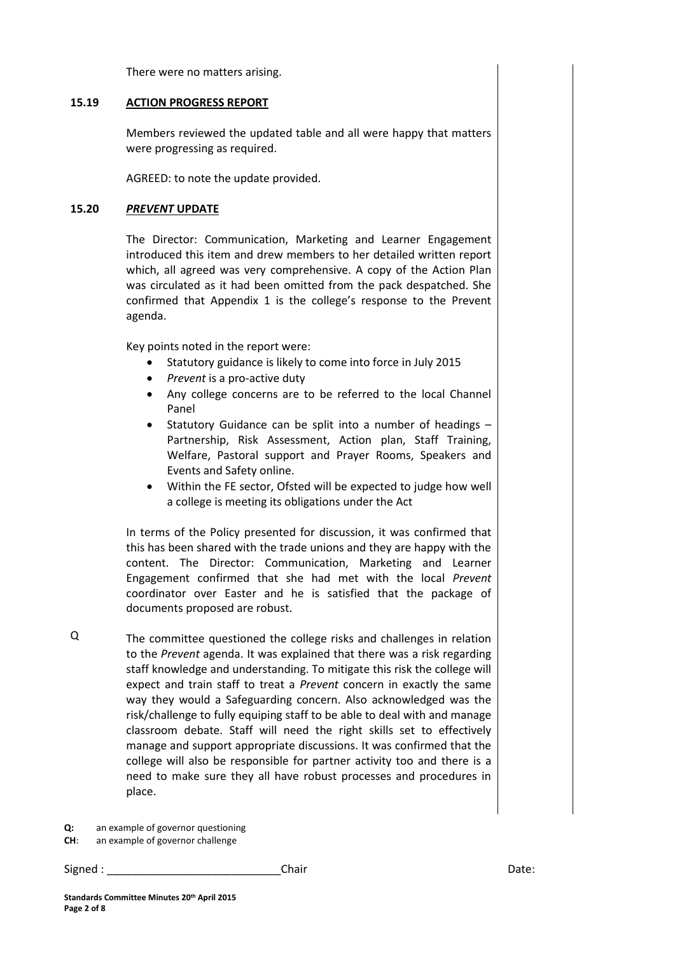There were no matters arising.

#### **15.19 ACTION PROGRESS REPORT**

Members reviewed the updated table and all were happy that matters were progressing as required.

AGREED: to note the update provided.

## **15.20** *PREVENT* **UPDATE**

The Director: Communication, Marketing and Learner Engagement introduced this item and drew members to her detailed written report which, all agreed was very comprehensive. A copy of the Action Plan was circulated as it had been omitted from the pack despatched. She confirmed that Appendix 1 is the college's response to the Prevent agenda.

Key points noted in the report were:

- Statutory guidance is likely to come into force in July 2015
- *Prevent* is a pro-active duty
- Any college concerns are to be referred to the local Channel Panel
- Statutory Guidance can be split into a number of headings Partnership, Risk Assessment, Action plan, Staff Training, Welfare, Pastoral support and Prayer Rooms, Speakers and Events and Safety online.
- Within the FE sector, Ofsted will be expected to judge how well a college is meeting its obligations under the Act

In terms of the Policy presented for discussion, it was confirmed that this has been shared with the trade unions and they are happy with the content. The Director: Communication, Marketing and Learner Engagement confirmed that she had met with the local *Prevent* coordinator over Easter and he is satisfied that the package of documents proposed are robust.

Q The committee questioned the college risks and challenges in relation to the *Prevent* agenda. It was explained that there was a risk regarding staff knowledge and understanding. To mitigate this risk the college will expect and train staff to treat a *Prevent* concern in exactly the same way they would a Safeguarding concern. Also acknowledged was the risk/challenge to fully equiping staff to be able to deal with and manage classroom debate. Staff will need the right skills set to effectively manage and support appropriate discussions. It was confirmed that the college will also be responsible for partner activity too and there is a need to make sure they all have robust processes and procedures in place.

**CH**: an example of governor challenge

**Q:** an example of governor questioning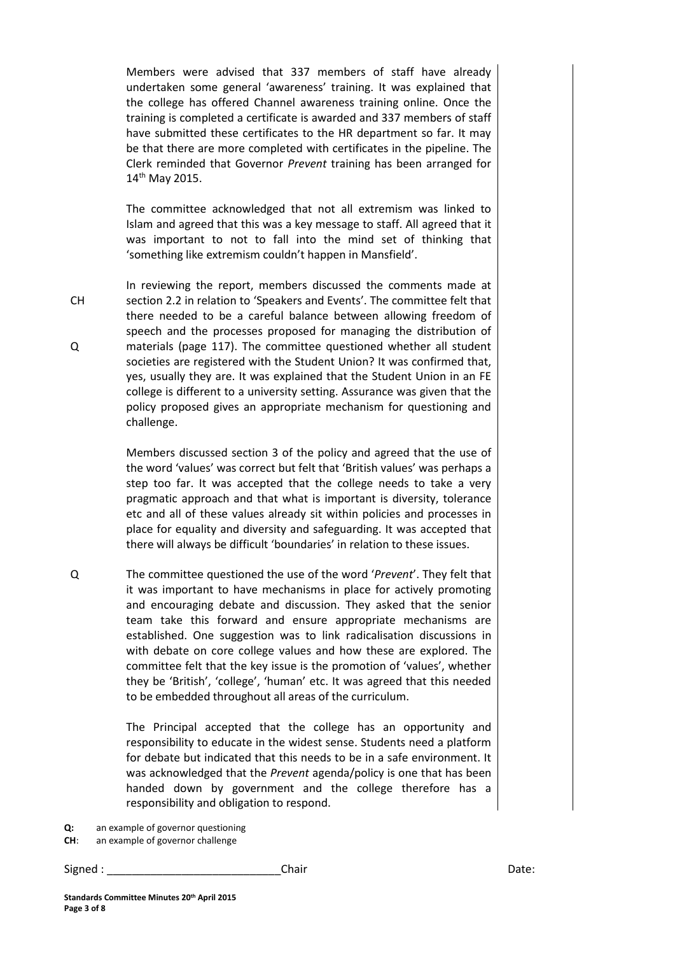Members were advised that 337 members of staff have already undertaken some general 'awareness' training. It was explained that the college has offered Channel awareness training online. Once the training is completed a certificate is awarded and 337 members of staff have submitted these certificates to the HR department so far. It may be that there are more completed with certificates in the pipeline. The Clerk reminded that Governor *Prevent* training has been arranged for 14<sup>th</sup> May 2015.

The committee acknowledged that not all extremism was linked to Islam and agreed that this was a key message to staff. All agreed that it was important to not to fall into the mind set of thinking that 'something like extremism couldn't happen in Mansfield'.

In reviewing the report, members discussed the comments made at section 2.2 in relation to 'Speakers and Events'. The committee felt that there needed to be a careful balance between allowing freedom of speech and the processes proposed for managing the distribution of materials (page 117). The committee questioned whether all student societies are registered with the Student Union? It was confirmed that, yes, usually they are. It was explained that the Student Union in an FE college is different to a university setting. Assurance was given that the policy proposed gives an appropriate mechanism for questioning and challenge.

Members discussed section 3 of the policy and agreed that the use of the word 'values' was correct but felt that 'British values' was perhaps a step too far. It was accepted that the college needs to take a very pragmatic approach and that what is important is diversity, tolerance etc and all of these values already sit within policies and processes in place for equality and diversity and safeguarding. It was accepted that there will always be difficult 'boundaries' in relation to these issues.

Q The committee questioned the use of the word '*Prevent*'. They felt that it was important to have mechanisms in place for actively promoting and encouraging debate and discussion. They asked that the senior team take this forward and ensure appropriate mechanisms are established. One suggestion was to link radicalisation discussions in with debate on core college values and how these are explored. The committee felt that the key issue is the promotion of 'values', whether they be 'British', 'college', 'human' etc. It was agreed that this needed to be embedded throughout all areas of the curriculum.

> The Principal accepted that the college has an opportunity and responsibility to educate in the widest sense. Students need a platform for debate but indicated that this needs to be in a safe environment. It was acknowledged that the *Prevent* agenda/policy is one that has been handed down by government and the college therefore has a responsibility and obligation to respond.

**Q:** an example of governor questioning

CH

Q

**CH**: an example of governor challenge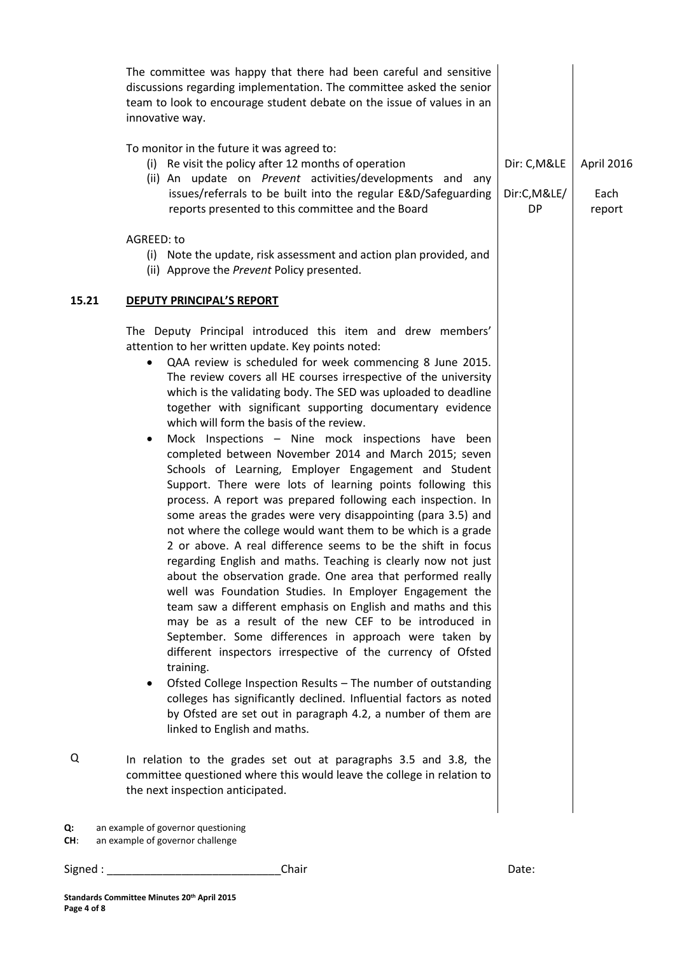| To monitor in the future it was agreed to:<br>(i) Re visit the policy after 12 months of operation<br>Dir: C, M&LE<br>(ii) An update on Prevent activities/developments and any<br>issues/referrals to be built into the regular E&D/Safeguarding<br>Dir:C,M&LE/<br>Each<br>reports presented to this committee and the Board<br><b>DP</b><br>report<br>AGREED: to<br>(i) Note the update, risk assessment and action plan provided, and<br>(ii) Approve the Prevent Policy presented.<br>15.21<br><b>DEPUTY PRINCIPAL'S REPORT</b><br>The Deputy Principal introduced this item and drew members'<br>attention to her written update. Key points noted:<br>QAA review is scheduled for week commencing 8 June 2015.<br>The review covers all HE courses irrespective of the university<br>which is the validating body. The SED was uploaded to deadline<br>together with significant supporting documentary evidence<br>which will form the basis of the review.<br>Mock Inspections - Nine mock inspections have been<br>٠<br>completed between November 2014 and March 2015; seven<br>Schools of Learning, Employer Engagement and Student<br>Support. There were lots of learning points following this<br>process. A report was prepared following each inspection. In<br>some areas the grades were very disappointing (para 3.5) and<br>not where the college would want them to be which is a grade<br>2 or above. A real difference seems to be the shift in focus<br>regarding English and maths. Teaching is clearly now not just<br>about the observation grade. One area that performed really<br>well was Foundation Studies. In Employer Engagement the<br>team saw a different emphasis on English and maths and this<br>may be as a result of the new CEF to be introduced in<br>September. Some differences in approach were taken by<br>different inspectors irrespective of the currency of Ofsted<br>training.<br>Ofsted College Inspection Results - The number of outstanding<br>colleges has significantly declined. Influential factors as noted<br>by Ofsted are set out in paragraph 4.2, a number of them are<br>linked to English and maths.<br>Q<br>In relation to the grades set out at paragraphs 3.5 and 3.8, the<br>committee questioned where this would leave the college in relation to<br>the next inspection anticipated.<br>an example of governor questioning<br>Q: | The committee was happy that there had been careful and sensitive<br>discussions regarding implementation. The committee asked the senior<br>team to look to encourage student debate on the issue of values in an<br>innovative way. |            |
|---------------------------------------------------------------------------------------------------------------------------------------------------------------------------------------------------------------------------------------------------------------------------------------------------------------------------------------------------------------------------------------------------------------------------------------------------------------------------------------------------------------------------------------------------------------------------------------------------------------------------------------------------------------------------------------------------------------------------------------------------------------------------------------------------------------------------------------------------------------------------------------------------------------------------------------------------------------------------------------------------------------------------------------------------------------------------------------------------------------------------------------------------------------------------------------------------------------------------------------------------------------------------------------------------------------------------------------------------------------------------------------------------------------------------------------------------------------------------------------------------------------------------------------------------------------------------------------------------------------------------------------------------------------------------------------------------------------------------------------------------------------------------------------------------------------------------------------------------------------------------------------------------------------------------------------------------------------------------------------------------------------------------------------------------------------------------------------------------------------------------------------------------------------------------------------------------------------------------------------------------------------------------------------------------------------------------------------------------------------------------------------------------------------|---------------------------------------------------------------------------------------------------------------------------------------------------------------------------------------------------------------------------------------|------------|
|                                                                                                                                                                                                                                                                                                                                                                                                                                                                                                                                                                                                                                                                                                                                                                                                                                                                                                                                                                                                                                                                                                                                                                                                                                                                                                                                                                                                                                                                                                                                                                                                                                                                                                                                                                                                                                                                                                                                                                                                                                                                                                                                                                                                                                                                                                                                                                                                               |                                                                                                                                                                                                                                       | April 2016 |
|                                                                                                                                                                                                                                                                                                                                                                                                                                                                                                                                                                                                                                                                                                                                                                                                                                                                                                                                                                                                                                                                                                                                                                                                                                                                                                                                                                                                                                                                                                                                                                                                                                                                                                                                                                                                                                                                                                                                                                                                                                                                                                                                                                                                                                                                                                                                                                                                               |                                                                                                                                                                                                                                       |            |
|                                                                                                                                                                                                                                                                                                                                                                                                                                                                                                                                                                                                                                                                                                                                                                                                                                                                                                                                                                                                                                                                                                                                                                                                                                                                                                                                                                                                                                                                                                                                                                                                                                                                                                                                                                                                                                                                                                                                                                                                                                                                                                                                                                                                                                                                                                                                                                                                               |                                                                                                                                                                                                                                       |            |
|                                                                                                                                                                                                                                                                                                                                                                                                                                                                                                                                                                                                                                                                                                                                                                                                                                                                                                                                                                                                                                                                                                                                                                                                                                                                                                                                                                                                                                                                                                                                                                                                                                                                                                                                                                                                                                                                                                                                                                                                                                                                                                                                                                                                                                                                                                                                                                                                               |                                                                                                                                                                                                                                       |            |
|                                                                                                                                                                                                                                                                                                                                                                                                                                                                                                                                                                                                                                                                                                                                                                                                                                                                                                                                                                                                                                                                                                                                                                                                                                                                                                                                                                                                                                                                                                                                                                                                                                                                                                                                                                                                                                                                                                                                                                                                                                                                                                                                                                                                                                                                                                                                                                                                               |                                                                                                                                                                                                                                       |            |

**CH**: an example of governor challenge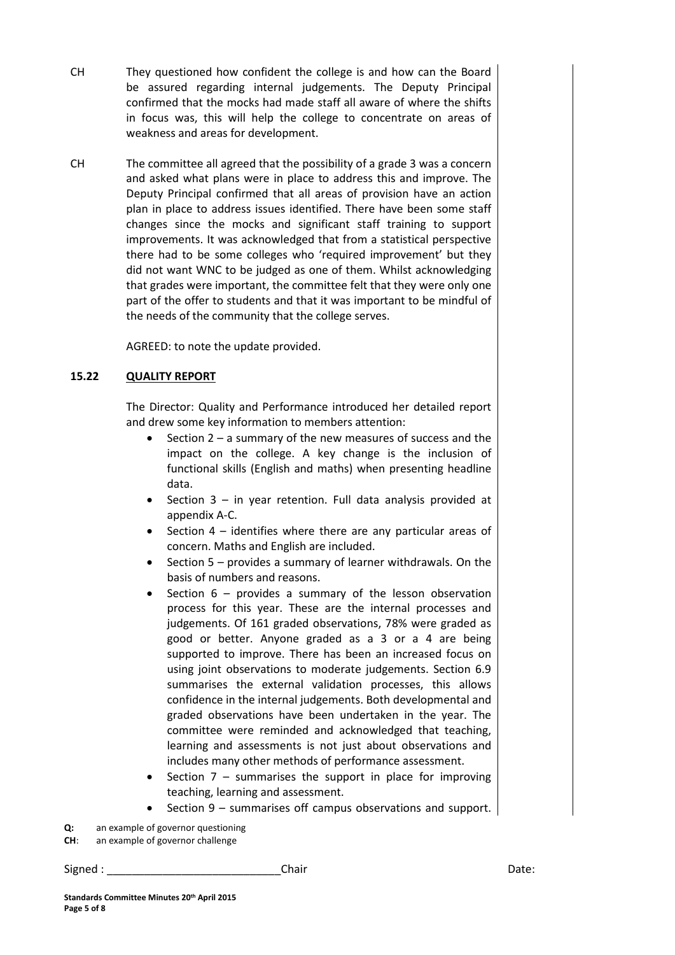- CH They questioned how confident the college is and how can the Board be assured regarding internal judgements. The Deputy Principal confirmed that the mocks had made staff all aware of where the shifts in focus was, this will help the college to concentrate on areas of weakness and areas for development.
- CH The committee all agreed that the possibility of a grade 3 was a concern and asked what plans were in place to address this and improve. The Deputy Principal confirmed that all areas of provision have an action plan in place to address issues identified. There have been some staff changes since the mocks and significant staff training to support improvements. It was acknowledged that from a statistical perspective there had to be some colleges who 'required improvement' but they did not want WNC to be judged as one of them. Whilst acknowledging that grades were important, the committee felt that they were only one part of the offer to students and that it was important to be mindful of the needs of the community that the college serves.

AGREED: to note the update provided.

#### **15.22 QUALITY REPORT**

The Director: Quality and Performance introduced her detailed report and drew some key information to members attention:

- $\bullet$  Section 2 a summary of the new measures of success and the impact on the college. A key change is the inclusion of functional skills (English and maths) when presenting headline data.
- Section 3 in year retention. Full data analysis provided at appendix A-C.
- Section 4 identifies where there are any particular areas of concern. Maths and English are included.
- Section 5 provides a summary of learner withdrawals. On the basis of numbers and reasons.
- Section 6 provides a summary of the lesson observation process for this year. These are the internal processes and judgements. Of 161 graded observations, 78% were graded as good or better. Anyone graded as a 3 or a 4 are being supported to improve. There has been an increased focus on using joint observations to moderate judgements. Section 6.9 summarises the external validation processes, this allows confidence in the internal judgements. Both developmental and graded observations have been undertaken in the year. The committee were reminded and acknowledged that teaching, learning and assessments is not just about observations and includes many other methods of performance assessment.
- Section  $7$  summarises the support in place for improving teaching, learning and assessment.
- Section 9 summarises off campus observations and support.

**Q:** an example of governor questioning

**CH**: an example of governor challenge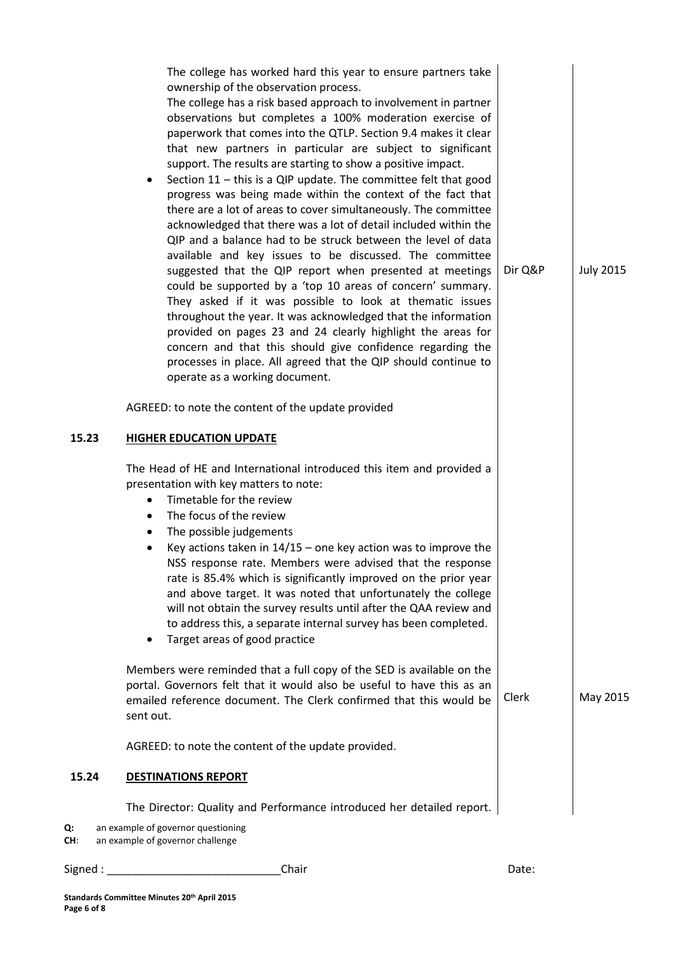| 15.23     | The college has worked hard this year to ensure partners take<br>ownership of the observation process.<br>The college has a risk based approach to involvement in partner<br>observations but completes a 100% moderation exercise of<br>paperwork that comes into the QTLP. Section 9.4 makes it clear<br>that new partners in particular are subject to significant<br>support. The results are starting to show a positive impact.<br>Section 11 - this is a QIP update. The committee felt that good<br>progress was being made within the context of the fact that<br>there are a lot of areas to cover simultaneously. The committee<br>acknowledged that there was a lot of detail included within the<br>QIP and a balance had to be struck between the level of data<br>available and key issues to be discussed. The committee<br>suggested that the QIP report when presented at meetings<br>could be supported by a 'top 10 areas of concern' summary.<br>They asked if it was possible to look at thematic issues<br>throughout the year. It was acknowledged that the information<br>provided on pages 23 and 24 clearly highlight the areas for<br>concern and that this should give confidence regarding the<br>processes in place. All agreed that the QIP should continue to<br>operate as a working document.<br>AGREED: to note the content of the update provided<br><b>HIGHER EDUCATION UPDATE</b> | Dir Q&P | <b>July 2015</b> |
|-----------|--------------------------------------------------------------------------------------------------------------------------------------------------------------------------------------------------------------------------------------------------------------------------------------------------------------------------------------------------------------------------------------------------------------------------------------------------------------------------------------------------------------------------------------------------------------------------------------------------------------------------------------------------------------------------------------------------------------------------------------------------------------------------------------------------------------------------------------------------------------------------------------------------------------------------------------------------------------------------------------------------------------------------------------------------------------------------------------------------------------------------------------------------------------------------------------------------------------------------------------------------------------------------------------------------------------------------------------------------------------------------------------------------------------------------|---------|------------------|
|           | The Head of HE and International introduced this item and provided a<br>presentation with key matters to note:<br>Timetable for the review<br>$\bullet$<br>The focus of the review<br>$\bullet$<br>The possible judgements<br>٠<br>Key actions taken in $14/15$ – one key action was to improve the<br>$\bullet$<br>NSS response rate. Members were advised that the response<br>rate is 85.4% which is significantly improved on the prior year<br>and above target. It was noted that unfortunately the college<br>will not obtain the survey results until after the QAA review and<br>to address this, a separate internal survey has been completed.<br>Target areas of good practice                                                                                                                                                                                                                                                                                                                                                                                                                                                                                                                                                                                                                                                                                                                               |         |                  |
|           | Members were reminded that a full copy of the SED is available on the<br>portal. Governors felt that it would also be useful to have this as an<br>emailed reference document. The Clerk confirmed that this would be<br>sent out.                                                                                                                                                                                                                                                                                                                                                                                                                                                                                                                                                                                                                                                                                                                                                                                                                                                                                                                                                                                                                                                                                                                                                                                       | Clerk   | May 2015         |
|           | AGREED: to note the content of the update provided.                                                                                                                                                                                                                                                                                                                                                                                                                                                                                                                                                                                                                                                                                                                                                                                                                                                                                                                                                                                                                                                                                                                                                                                                                                                                                                                                                                      |         |                  |
| 15.24     | <b>DESTINATIONS REPORT</b>                                                                                                                                                                                                                                                                                                                                                                                                                                                                                                                                                                                                                                                                                                                                                                                                                                                                                                                                                                                                                                                                                                                                                                                                                                                                                                                                                                                               |         |                  |
| Q:<br>CH: | The Director: Quality and Performance introduced her detailed report.<br>an example of governor questioning<br>an example of governor challenge                                                                                                                                                                                                                                                                                                                                                                                                                                                                                                                                                                                                                                                                                                                                                                                                                                                                                                                                                                                                                                                                                                                                                                                                                                                                          |         |                  |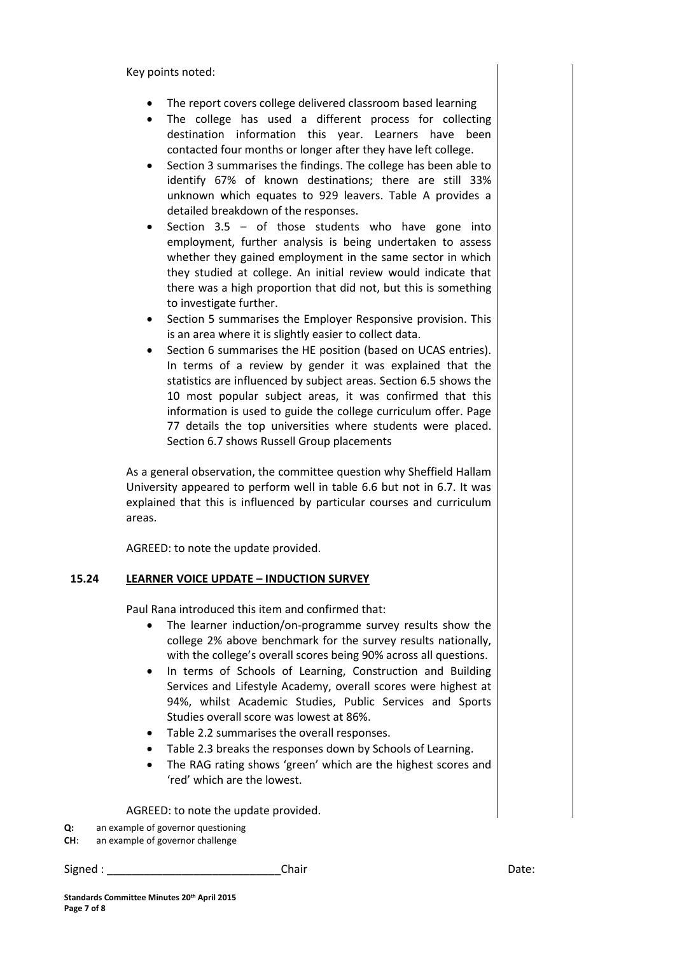Key points noted:

- The report covers college delivered classroom based learning
- The college has used a different process for collecting destination information this year. Learners have been contacted four months or longer after they have left college.
- Section 3 summarises the findings. The college has been able to identify 67% of known destinations; there are still 33% unknown which equates to 929 leavers. Table A provides a detailed breakdown of the responses.
- Section 3.5 of those students who have gone into employment, further analysis is being undertaken to assess whether they gained employment in the same sector in which they studied at college. An initial review would indicate that there was a high proportion that did not, but this is something to investigate further.
- Section 5 summarises the Employer Responsive provision. This is an area where it is slightly easier to collect data.
- Section 6 summarises the HE position (based on UCAS entries). In terms of a review by gender it was explained that the statistics are influenced by subject areas. Section 6.5 shows the 10 most popular subject areas, it was confirmed that this information is used to guide the college curriculum offer. Page 77 details the top universities where students were placed. Section 6.7 shows Russell Group placements

As a general observation, the committee question why Sheffield Hallam University appeared to perform well in table 6.6 but not in 6.7. It was explained that this is influenced by particular courses and curriculum areas.

AGREED: to note the update provided.

#### **15.24 LEARNER VOICE UPDATE – INDUCTION SURVEY**

Paul Rana introduced this item and confirmed that:

- The learner induction/on-programme survey results show the college 2% above benchmark for the survey results nationally, with the college's overall scores being 90% across all questions.
- In terms of Schools of Learning, Construction and Building Services and Lifestyle Academy, overall scores were highest at 94%, whilst Academic Studies, Public Services and Sports Studies overall score was lowest at 86%.
- Table 2.2 summarises the overall responses.
- Table 2.3 breaks the responses down by Schools of Learning.
- The RAG rating shows 'green' which are the highest scores and 'red' which are the lowest.

AGREED: to note the update provided.

- **Q:** an example of governor questioning
- **CH**: an example of governor challenge